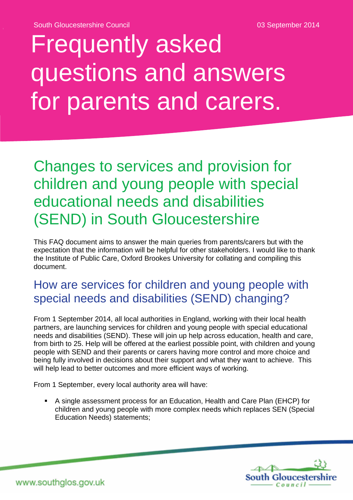# Frequently asked questions and answers for parents and carers.

# Changes to services and provision for children and young people with special educational needs and disabilities (SEND) in South Gloucestershire

This FAQ document aims to answer the main queries from parents/carers but with the expectation that the information will be helpful for other stakeholders. I would like to thank the Institute of Public Care, Oxford Brookes University for collating and compiling this document.

### How are services for children and young people with special needs and disabilities (SEND) changing?

From 1 September 2014, all local authorities in England, working with their local health partners, are launching services for children and young people with special educational needs and disabilities (SEND). These will join up help across education, health and care, from birth to 25. Help will be offered at the earliest possible point, with children and young people with SEND and their parents or carers having more control and more choice and being fully involved in decisions about their support and what they want to achieve. This will help lead to better outcomes and more efficient ways of working.

From 1 September, every local authority area will have:

 A single assessment process for an Education, Health and Care Plan (EHCP) for children and young people with more complex needs which replaces SEN (Special Education Needs) statements;

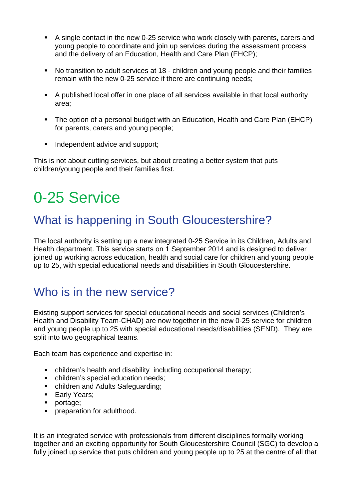- A single contact in the new 0-25 service who work closely with parents, carers and young people to coordinate and join up services during the assessment process and the delivery of an Education, Health and Care Plan (EHCP);
- No transition to adult services at 18 children and young people and their families remain with the new 0-25 service if there are continuing needs;
- A published local offer in one place of all services available in that local authority area;
- The option of a personal budget with an Education, Health and Care Plan (EHCP) for parents, carers and young people;
- Independent advice and support;

This is not about cutting services, but about creating a better system that puts children/young people and their families first.

# 0-25 Service

# What is happening in South Gloucestershire?

The local authority is setting up a new integrated 0-25 Service in its Children, Adults and Health department. This service starts on 1 September 2014 and is designed to deliver joined up working across education, health and social care for children and young people up to 25, with special educational needs and disabilities in South Gloucestershire.

# Who is in the new service?

Existing support services for special educational needs and social services (Children's Health and Disability Team-CHAD) are now together in the new 0-25 service for children and young people up to 25 with special educational needs/disabilities (SEND). They are split into two geographical teams.

Each team has experience and expertise in:

- children's health and disability including occupational therapy;
- **•** children's special education needs;
- **Exercise 2** children and Adults Safeguarding;
- **Early Years:**
- portage;
- **•** preparation for adulthood.

It is an integrated service with professionals from different disciplines formally working together and an exciting opportunity for South Gloucestershire Council (SGC) to develop a fully joined up service that puts children and young people up to 25 at the centre of all that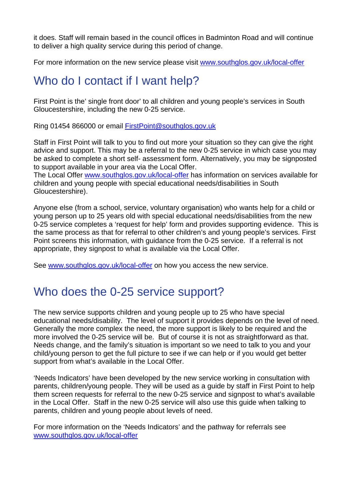it does. Staff will remain based in the council offices in Badminton Road and will continue to deliver a high quality service during this period of change.

For more information on the new service please visit www.southglos.gov.uk/local-offer

# Who do I contact if I want help?

First Point is the' single front door' to all children and young people's services in South Gloucestershire, including the new 0-25 service.

Ring 01454 866000 or email FirstPoint@southglos.gov.uk

Staff in First Point will talk to you to find out more your situation so they can give the right advice and support. This may be a referral to the new 0-25 service in which case you may be asked to complete a short self- assessment form. Alternatively, you may be signposted to support available in your area via the Local Offer.

The Local Offer www.southglos.gov.uk/local-offer has information on services available for children and young people with special educational needs/disabilities in South Gloucestershire).

Anyone else (from a school, service, voluntary organisation) who wants help for a child or young person up to 25 years old with special educational needs/disabilities from the new 0-25 service completes a 'request for help' form and provides supporting evidence. This is the same process as that for referral to other children's and young people's services. First Point screens this information, with guidance from the 0-25 service. If a referral is not appropriate, they signpost to what is available via the Local Offer.

See www.southglos.gov.uk/local-offer on how you access the new service.

#### Who does the 0-25 service support?

The new service supports children and young people up to 25 who have special educational needs/disability. The level of support it provides depends on the level of need. Generally the more complex the need, the more support is likely to be required and the more involved the 0-25 service will be. But of course it is not as straightforward as that. Needs change, and the family's situation is important so we need to talk to you and your child/young person to get the full picture to see if we can help or if you would get better support from what's available in the Local Offer.

'Needs Indicators' have been developed by the new service working in consultation with parents, children/young people. They will be used as a guide by staff in First Point to help them screen requests for referral to the new 0-25 service and signpost to what's available in the Local Offer. Staff in the new 0-25 service will also use this guide when talking to parents, children and young people about levels of need.

For more information on the 'Needs Indicators' and the pathway for referrals see www.southglos.gov.uk/local-offer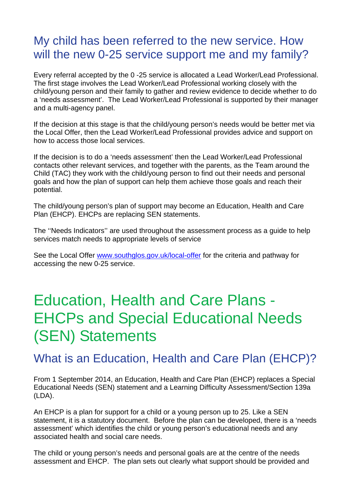### My child has been referred to the new service. How will the new 0-25 service support me and my family?

Every referral accepted by the 0 -25 service is allocated a Lead Worker/Lead Professional. The first stage involves the Lead Worker/Lead Professional working closely with the child/young person and their family to gather and review evidence to decide whether to do a 'needs assessment'. The Lead Worker/Lead Professional is supported by their manager and a multi-agency panel.

If the decision at this stage is that the child/young person's needs would be better met via the Local Offer, then the Lead Worker/Lead Professional provides advice and support on how to access those local services.

If the decision is to do a 'needs assessment' then the Lead Worker/Lead Professional contacts other relevant services, and together with the parents, as the Team around the Child (TAC) they work with the child/young person to find out their needs and personal goals and how the plan of support can help them achieve those goals and reach their potential.

The child/young person's plan of support may become an Education, Health and Care Plan (EHCP). EHCPs are replacing SEN statements.

The ''Needs Indicators'' are used throughout the assessment process as a guide to help services match needs to appropriate levels of service

See the Local Offer www.southglos.gov.uk/local-offer for the criteria and pathway for accessing the new 0-25 service.

# Education, Health and Care Plans - EHCPs and Special Educational Needs (SEN) Statements

#### What is an Education, Health and Care Plan (EHCP)?

From 1 September 2014, an Education, Health and Care Plan (EHCP) replaces a Special Educational Needs (SEN) statement and a Learning Difficulty Assessment/Section 139a (LDA).

An EHCP is a plan for support for a child or a young person up to 25. Like a SEN statement, it is a statutory document. Before the plan can be developed, there is a 'needs assessment' which identifies the child or young person's educational needs and any associated health and social care needs.

The child or young person's needs and personal goals are at the centre of the needs assessment and EHCP. The plan sets out clearly what support should be provided and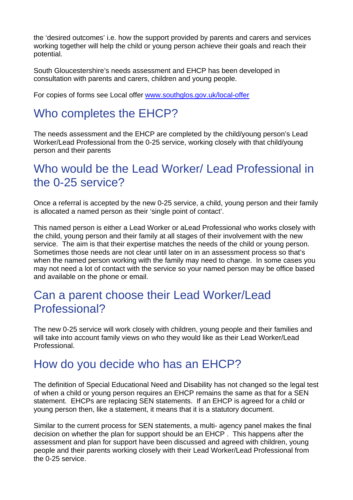the 'desired outcomes' i.e. how the support provided by parents and carers and services working together will help the child or young person achieve their goals and reach their potential.

South Gloucestershire's needs assessment and EHCP has been developed in consultation with parents and carers, children and young people.

For copies of forms see Local offer www.southglos.gov.uk/local-offer

# Who completes the EHCP?

The needs assessment and the EHCP are completed by the child/young person's Lead Worker/Lead Professional from the 0-25 service, working closely with that child/young person and their parents

### Who would be the Lead Worker/ Lead Professional in the 0-25 service?

Once a referral is accepted by the new 0-25 service, a child, young person and their family is allocated a named person as their 'single point of contact'.

This named person is either a Lead Worker or aLead Professional who works closely with the child, young person and their family at all stages of their involvement with the new service. The aim is that their expertise matches the needs of the child or young person. Sometimes those needs are not clear until later on in an assessment process so that's when the named person working with the family may need to change. In some cases you may not need a lot of contact with the service so your named person may be office based and available on the phone or email.

#### Can a parent choose their Lead Worker/Lead Professional?

The new 0-25 service will work closely with children, young people and their families and will take into account family views on who they would like as their Lead Worker/Lead **Professional** 

#### How do you decide who has an EHCP?

The definition of Special Educational Need and Disability has not changed so the legal test of when a child or young person requires an EHCP remains the same as that for a SEN statement. EHCPs are replacing SEN statements. If an EHCP is agreed for a child or young person then, like a statement, it means that it is a statutory document.

Similar to the current process for SEN statements, a multi- agency panel makes the final decision on whether the plan for support should be an EHCP . This happens after the assessment and plan for support have been discussed and agreed with children, young people and their parents working closely with their Lead Worker/Lead Professional from the 0-25 service.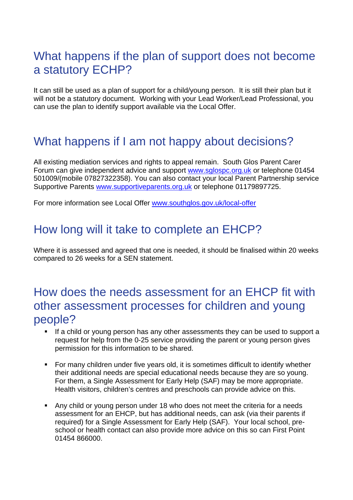# What happens if the plan of support does not become a statutory ECHP?

It can still be used as a plan of support for a child/young person. It is still their plan but it will not be a statutory document. Working with your Lead Worker/Lead Professional, you can use the plan to identify support available via the Local Offer.

# What happens if I am not happy about decisions?

All existing mediation services and rights to appeal remain. South Glos Parent Carer Forum can give independent advice and support www.sglospc.org.uk or telephone 01454 501009/(mobile 07827322358). You can also contact your local Parent Partnership service Supportive Parents www.supportiveparents.org.uk or telephone 01179897725.

For more information see Local Offer www.southglos.gov.uk/local-offer

#### How long will it take to complete an EHCP?

Where it is assessed and agreed that one is needed, it should be finalised within 20 weeks compared to 26 weeks for a SEN statement.

#### How does the needs assessment for an EHCP fit with other assessment processes for children and young people?

- If a child or young person has any other assessments they can be used to support a request for help from the 0-25 service providing the parent or young person gives permission for this information to be shared.
- For many children under five years old, it is sometimes difficult to identify whether their additional needs are special educational needs because they are so young. For them, a Single Assessment for Early Help (SAF) may be more appropriate. Health visitors, children's centres and preschools can provide advice on this.
- Any child or young person under 18 who does not meet the criteria for a needs assessment for an EHCP, but has additional needs, can ask (via their parents if required) for a Single Assessment for Early Help (SAF). Your local school, preschool or health contact can also provide more advice on this so can First Point 01454 866000.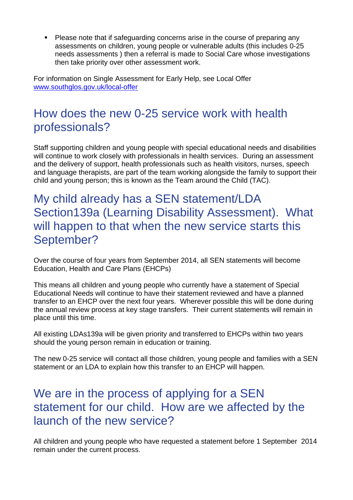**Please note that if safeguarding concerns arise in the course of preparing any** assessments on children, young people or vulnerable adults (this includes 0-25 needs assessments ) then a referral is made to Social Care whose investigations then take priority over other assessment work.

For information on Single Assessment for Early Help, see Local Offer www.southglos.gov.uk/local-offer

# How does the new 0-25 service work with health professionals?

Staff supporting children and young people with special educational needs and disabilities will continue to work closely with professionals in health services. During an assessment and the delivery of support, health professionals such as health visitors, nurses, speech and language therapists, are part of the team working alongside the family to support their child and young person; this is known as the Team around the Child (TAC).

My child already has a SEN statement/LDA Section139a (Learning Disability Assessment). What will happen to that when the new service starts this September?

Over the course of four years from September 2014, all SEN statements will become Education, Health and Care Plans (EHCPs)

This means all children and young people who currently have a statement of Special Educational Needs will continue to have their statement reviewed and have a planned transfer to an EHCP over the next four years. Wherever possible this will be done during the annual review process at key stage transfers. Their current statements will remain in place until this time.

All existing LDAs139a will be given priority and transferred to EHCPs within two years should the young person remain in education or training.

The new 0-25 service will contact all those children, young people and families with a SEN statement or an LDA to explain how this transfer to an EHCP will happen.

### We are in the process of applying for a SEN statement for our child. How are we affected by the launch of the new service?

All children and young people who have requested a statement before 1 September 2014 remain under the current process.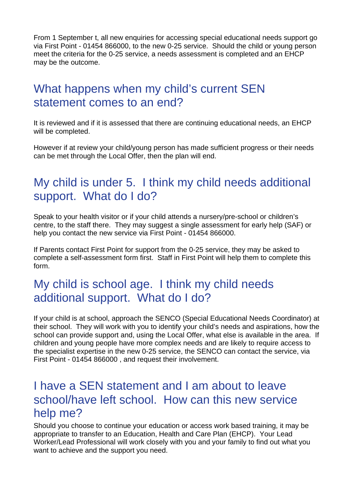From 1 September t, all new enquiries for accessing special educational needs support go via First Point - 01454 866000, to the new 0-25 service. Should the child or young person meet the criteria for the 0-25 service, a needs assessment is completed and an EHCP may be the outcome.

# What happens when my child's current SEN statement comes to an end?

It is reviewed and if it is assessed that there are continuing educational needs, an EHCP will be completed.

However if at review your child/young person has made sufficient progress or their needs can be met through the Local Offer, then the plan will end.

### My child is under 5. I think my child needs additional support. What do I do?

Speak to your health visitor or if your child attends a nursery/pre-school or children's centre, to the staff there. They may suggest a single assessment for early help (SAF) or help you contact the new service via First Point - 01454 866000.

If Parents contact First Point for support from the 0-25 service, they may be asked to complete a self-assessment form first. Staff in First Point will help them to complete this form.

# My child is school age. I think my child needs additional support. What do I do?

If your child is at school, approach the SENCO (Special Educational Needs Coordinator) at their school. They will work with you to identify your child's needs and aspirations, how the school can provide support and, using the Local Offer, what else is available in the area. If children and young people have more complex needs and are likely to require access to the specialist expertise in the new 0-25 service, the SENCO can contact the service, via First Point - 01454 866000 , and request their involvement.

#### I have a SEN statement and I am about to leave school/have left school. How can this new service help me?

Should you choose to continue your education or access work based training, it may be appropriate to transfer to an Education, Health and Care Plan (EHCP). Your Lead Worker/Lead Professional will work closely with you and your family to find out what you want to achieve and the support you need.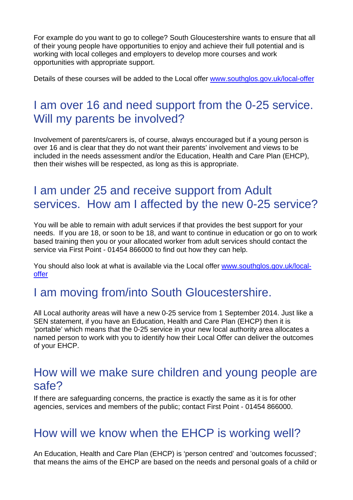For example do you want to go to college? South Gloucestershire wants to ensure that all of their young people have opportunities to enjoy and achieve their full potential and is working with local colleges and employers to develop more courses and work opportunities with appropriate support.

Details of these courses will be added to the Local offer www.southglos.gov.uk/local-offer

# I am over 16 and need support from the 0-25 service. Will my parents be involved?

Involvement of parents/carers is, of course, always encouraged but if a young person is over 16 and is clear that they do not want their parents' involvement and views to be included in the needs assessment and/or the Education, Health and Care Plan (EHCP), then their wishes will be respected, as long as this is appropriate.

# I am under 25 and receive support from Adult services. How am I affected by the new 0-25 service?

You will be able to remain with adult services if that provides the best support for your needs. If you are 18, or soon to be 18, and want to continue in education or go on to work based training then you or your allocated worker from adult services should contact the service via First Point - 01454 866000 to find out how they can help.

You should also look at what is available via the Local offer www.southglos.gov.uk/localoffer

# I am moving from/into South Gloucestershire.

All Local authority areas will have a new 0-25 service from 1 September 2014. Just like a SEN statement, if you have an Education, Health and Care Plan (EHCP) then it is 'portable' which means that the 0-25 service in your new local authority area allocates a named person to work with you to identify how their Local Offer can deliver the outcomes of your EHCP.

#### How will we make sure children and young people are safe?

If there are safeguarding concerns, the practice is exactly the same as it is for other agencies, services and members of the public; contact First Point - 01454 866000.

# How will we know when the EHCP is working well?

An Education, Health and Care Plan (EHCP) is 'person centred' and 'outcomes focussed'; that means the aims of the EHCP are based on the needs and personal goals of a child or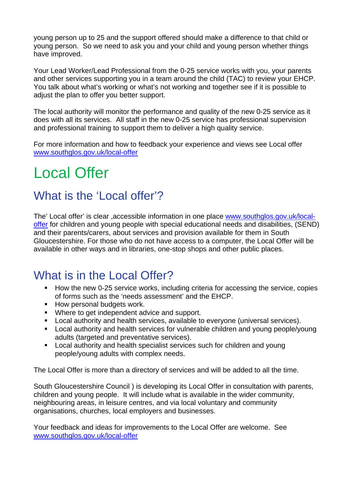young person up to 25 and the support offered should make a difference to that child or young person. So we need to ask you and your child and young person whether things have improved.

Your Lead Worker/Lead Professional from the 0-25 service works with you, your parents and other services supporting you in a team around the child (TAC) to review your EHCP. You talk about what's working or what's not working and together see if it is possible to adjust the plan to offer you better support.

The local authority will monitor the performance and quality of the new 0-25 service as it does with all its services. All staff in the new 0-25 service has professional supervision and professional training to support them to deliver a high quality service.

For more information and how to feedback your experience and views see Local offer www.southglos.gov.uk/local-offer

# Local Offer

#### What is the 'Local offer'?

The' Local offer' is clear ,accessible information in one place www.southglos.gov.uk/localoffer for children and young people with special educational needs and disabilities, (SEND) and their parents/carers, about services and provision available for them in South Gloucestershire. For those who do not have access to a computer, the Local Offer will be available in other ways and in libraries, one-stop shops and other public places.

#### What is in the Local Offer?

- How the new 0-25 service works, including criteria for accessing the service, copies of forms such as the 'needs assessment' and the EHCP.
- **How personal budgets work.**
- **Where to get independent advice and support.**
- Local authority and health services, available to everyone (universal services).
- Local authority and health services for vulnerable children and young people/young adults (targeted and preventative services).
- **Local authority and health specialist services such for children and young** people/young adults with complex needs.

The Local Offer is more than a directory of services and will be added to all the time.

South Gloucestershire Council ) is developing its Local Offer in consultation with parents, children and young people. It will include what is available in the wider community, neighbouring areas, in leisure centres, and via local voluntary and community organisations, churches, local employers and businesses.

Your feedback and ideas for improvements to the Local Offer are welcome. See www.southglos.gov.uk/local-offer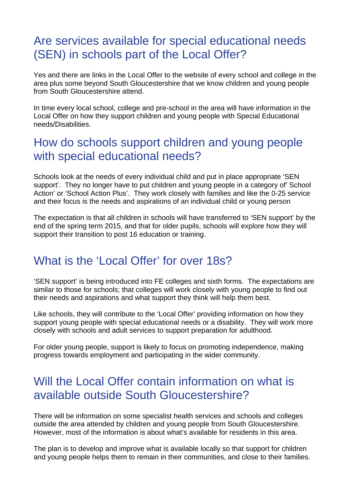### Are services available for special educational needs (SEN) in schools part of the Local Offer?

Yes and there are links in the Local Offer to the website of every school and college in the area plus some beyond South Gloucestershire that we know children and young people from South Gloucestershire attend.

In time every local school, college and pre-school in the area will have information in the Local Offer on how they support children and young people with Special Educational needs/Disabilities.

#### How do schools support children and young people with special educational needs?

Schools look at the needs of every individual child and put in place appropriate 'SEN support'. They no longer have to put children and young people in a category of' School Action' or 'School Action Plus'. They work closely with families and like the 0-25 service and their focus is the needs and aspirations of an individual child or young person

The expectation is that all children in schools will have transferred to 'SEN support' by the end of the spring term 2015, and that for older pupils, schools will explore how they will support their transition to post 16 education or training.

#### What is the 'Local Offer' for over 18s?

'SEN support' is being introduced into FE colleges and sixth forms. The expectations are similar to those for schools; that colleges will work closely with young people to find out their needs and aspirations and what support they think will help them best.

Like schools, they will contribute to the 'Local Offer' providing information on how they support young people with special educational needs or a disability. They will work more closely with schools and adult services to support preparation for adulthood.

For older young people, support is likely to focus on promoting independence, making progress towards employment and participating in the wider community.

### Will the Local Offer contain information on what is available outside South Gloucestershire?

There will be information on some specialist health services and schools and colleges outside the area attended by children and young people from South Gloucestershire. However, most of the information is about what's available for residents in this area.

The plan is to develop and improve what is available locally so that support for children and young people helps them to remain in their communities, and close to their families.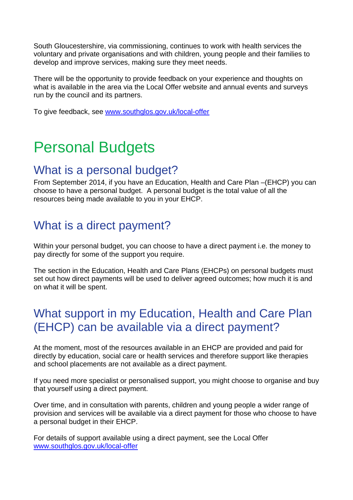South Gloucestershire, via commissioning, continues to work with health services the voluntary and private organisations and with children, young people and their families to develop and improve services, making sure they meet needs.

There will be the opportunity to provide feedback on your experience and thoughts on what is available in the area via the Local Offer website and annual events and surveys run by the council and its partners.

To give feedback, see www.southglos.gov.uk/local-offer

# Personal Budgets

#### What is a personal budget?

From September 2014, if you have an Education, Health and Care Plan –(EHCP) you can choose to have a personal budget. A personal budget is the total value of all the resources being made available to you in your EHCP.

### What is a direct payment?

Within your personal budget, you can choose to have a direct payment i.e. the money to pay directly for some of the support you require.

The section in the Education, Health and Care Plans (EHCPs) on personal budgets must set out how direct payments will be used to deliver agreed outcomes; how much it is and on what it will be spent.

# What support in my Education, Health and Care Plan (EHCP) can be available via a direct payment?

At the moment, most of the resources available in an EHCP are provided and paid for directly by education, social care or health services and therefore support like therapies and school placements are not available as a direct payment.

If you need more specialist or personalised support, you might choose to organise and buy that yourself using a direct payment.

Over time, and in consultation with parents, children and young people a wider range of provision and services will be available via a direct payment for those who choose to have a personal budget in their EHCP.

For details of support available using a direct payment, see the Local Offer www.southglos.gov.uk/local-offer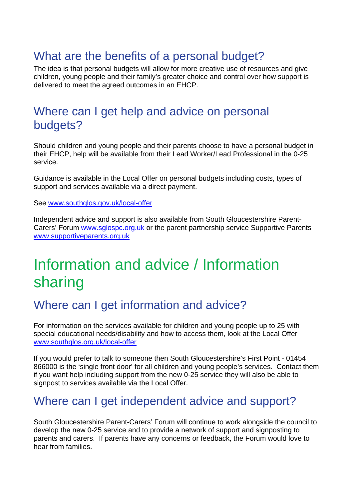# What are the benefits of a personal budget?

The idea is that personal budgets will allow for more creative use of resources and give children, young people and their family's greater choice and control over how support is delivered to meet the agreed outcomes in an EHCP.

#### Where can I get help and advice on personal budgets?

Should children and young people and their parents choose to have a personal budget in their EHCP, help will be available from their Lead Worker/Lead Professional in the 0-25 service.

Guidance is available in the Local Offer on personal budgets including costs, types of support and services available via a direct payment.

See www.southglos.gov.uk/local-offer

Independent advice and support is also available from South Gloucestershire Parent-Carers' Forum www.sglospc.org.uk or the parent partnership service Supportive Parents www.supportiveparents.org.uk

# Information and advice / Information sharing

#### Where can I get information and advice?

For information on the services available for children and young people up to 25 with special educational needs/disability and how to access them, look at the Local Offer www.southglos.org.uk/local-offer

If you would prefer to talk to someone then South Gloucestershire's First Point - 01454 866000 is the 'single front door' for all children and young people's services. Contact them if you want help including support from the new 0-25 service they will also be able to signpost to services available via the Local Offer.

#### Where can I get independent advice and support?

South Gloucestershire Parent-Carers' Forum will continue to work alongside the council to develop the new 0-25 service and to provide a network of support and signposting to parents and carers. If parents have any concerns or feedback, the Forum would love to hear from families.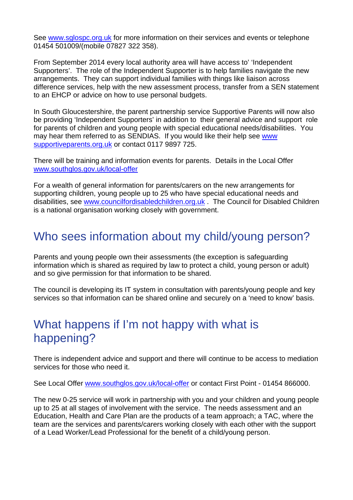See www.sglospc.org.uk for more information on their services and events or telephone 01454 501009/(mobile 07827 322 358).

From September 2014 every local authority area will have access to' 'Independent Supporters'. The role of the Independent Supporter is to help families navigate the new arrangements. They can support individual families with things like liaison across difference services, help with the new assessment process, transfer from a SEN statement to an EHCP or advice on how to use personal budgets.

In South Gloucestershire, the parent partnership service Supportive Parents will now also be providing 'Independent Supporters' in addition to their general advice and support role for parents of children and young people with special educational needs/disabilities. You may hear them referred to as SENDIAS. If you would like their help see www supportiveparents.org.uk or contact 0117 9897 725.

There will be training and information events for parents. Details in the Local Offer www.southglos.gov.uk/local-offer

For a wealth of general information for parents/carers on the new arrangements for supporting children, young people up to 25 who have special educational needs and disabilities, see www.councilfordisabledchildren.org.uk . The Council for Disabled Children is a national organisation working closely with government.

# Who sees information about my child/young person?

Parents and young people own their assessments (the exception is safeguarding information which is shared as required by law to protect a child, young person or adult) and so give permission for that information to be shared.

The council is developing its IT system in consultation with parents/young people and key services so that information can be shared online and securely on a 'need to know' basis.

# What happens if I'm not happy with what is happening?

There is independent advice and support and there will continue to be access to mediation services for those who need it.

See Local Offer www.southglos.gov.uk/local-offer or contact First Point - 01454 866000.

The new 0-25 service will work in partnership with you and your children and young people up to 25 at all stages of involvement with the service. The needs assessment and an Education, Health and Care Plan are the products of a team approach; a TAC, where the team are the services and parents/carers working closely with each other with the support of a Lead Worker/Lead Professional for the benefit of a child/young person.